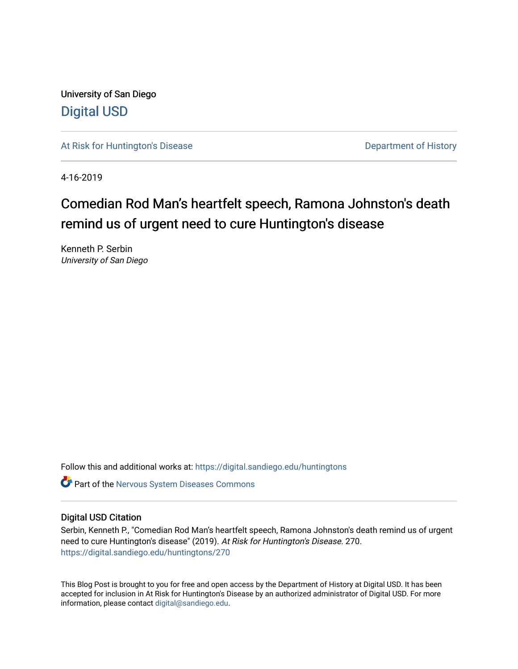University of San Diego [Digital USD](https://digital.sandiego.edu/)

[At Risk for Huntington's Disease](https://digital.sandiego.edu/huntingtons) **Department of History** Department of History

4-16-2019

# Comedian Rod Man's heartfelt speech, Ramona Johnston's death remind us of urgent need to cure Huntington's disease

Kenneth P. Serbin University of San Diego

Follow this and additional works at: [https://digital.sandiego.edu/huntingtons](https://digital.sandiego.edu/huntingtons?utm_source=digital.sandiego.edu%2Fhuntingtons%2F270&utm_medium=PDF&utm_campaign=PDFCoverPages)

**C** Part of the [Nervous System Diseases Commons](http://network.bepress.com/hgg/discipline/928?utm_source=digital.sandiego.edu%2Fhuntingtons%2F270&utm_medium=PDF&utm_campaign=PDFCoverPages)

## Digital USD Citation

Serbin, Kenneth P., "Comedian Rod Man's heartfelt speech, Ramona Johnston's death remind us of urgent need to cure Huntington's disease" (2019). At Risk for Huntington's Disease. 270. [https://digital.sandiego.edu/huntingtons/270](https://digital.sandiego.edu/huntingtons/270?utm_source=digital.sandiego.edu%2Fhuntingtons%2F270&utm_medium=PDF&utm_campaign=PDFCoverPages)

This Blog Post is brought to you for free and open access by the Department of History at Digital USD. It has been accepted for inclusion in At Risk for Huntington's Disease by an authorized administrator of Digital USD. For more information, please contact [digital@sandiego.edu.](mailto:digital@sandiego.edu)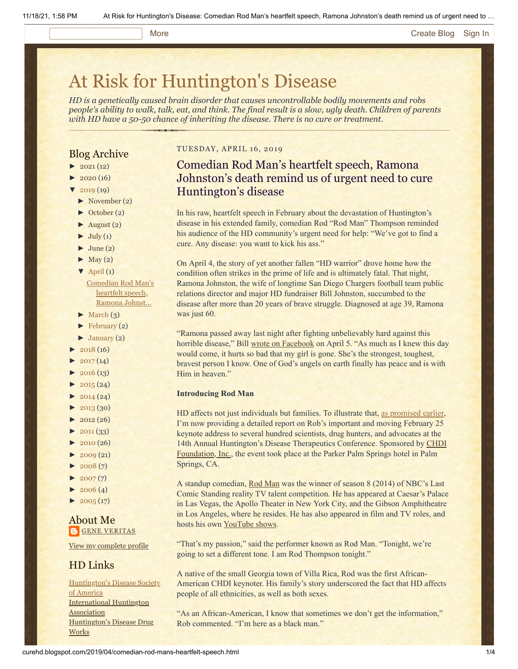#### More **[Create Blog](https://www.blogger.com/home#create) [Sign In](https://www.blogger.com/)**

# [At Risk for Huntington's Disease](http://curehd.blogspot.com/)

*HD is a genetically caused brain disorder that causes uncontrollable bodily movements and robs people's ability to walk, talk, eat, and think. The final result is a slow, ugly death. Children of parents with HD have a 50-50 chance of inheriting the disease. There is no cure or treatment.*

### Blog Archive

- $\blacktriangleright$  [2021](http://curehd.blogspot.com/2021/) (12)
- $2020(16)$  $2020(16)$
- $2019(19)$  $2019(19)$
- [►](javascript:void(0)) [November](http://curehd.blogspot.com/2019/11/) (2)
- [►](javascript:void(0)) [October](http://curehd.blogspot.com/2019/10/) (2)
- $\blacktriangleright$  [August](http://curehd.blogspot.com/2019/08/) (2)
- $\blacktriangleright$  [July](http://curehd.blogspot.com/2019/07/) (1)
- $\blacktriangleright$  [June](http://curehd.blogspot.com/2019/06/) (2)
- $\blacktriangleright$  [May](http://curehd.blogspot.com/2019/05/) (2)
- $\nabla$  [April](http://curehd.blogspot.com/2019/04/) (1)

[Comedian](http://curehd.blogspot.com/2019/04/comedian-rod-mans-heartfelt-speech.html) Rod Man's heartfelt speech, Ramona Johnst...

- $\blacktriangleright$  [March](http://curehd.blogspot.com/2019/03/) (3)
- $\blacktriangleright$  [February](http://curehd.blogspot.com/2019/02/) (2)
- $\blacktriangleright$  [January](http://curehd.blogspot.com/2019/01/) (2)
- $2018(16)$  $2018(16)$
- $\blacktriangleright$  [2017](http://curehd.blogspot.com/2017/) (14)
- $\blacktriangleright$  [2016](http://curehd.blogspot.com/2016/) (13)
- $\blacktriangleright$  [2015](http://curehd.blogspot.com/2015/) (24)
- $\blacktriangleright$  [2014](http://curehd.blogspot.com/2014/) (24)
- $\blacktriangleright$  [2013](http://curehd.blogspot.com/2013/) (30)
- $\blacktriangleright$  [2012](http://curehd.blogspot.com/2012/) (26)
- $\blacktriangleright$  [2011](http://curehd.blogspot.com/2011/) (33)
- $\blacktriangleright$  [2010](http://curehd.blogspot.com/2010/) (26)
- $\blacktriangleright$  [2009](http://curehd.blogspot.com/2009/) (21)
- $\blacktriangleright$  [2008](http://curehd.blogspot.com/2008/) $(7)$
- $\blacktriangleright$  [2007](http://curehd.blogspot.com/2007/) $(7)$
- $\blacktriangleright$  [2006](http://curehd.blogspot.com/2006/) (4)
- $2005(17)$  $2005(17)$

### About Me **GENE [VERITAS](https://www.blogger.com/profile/10911736205741688185)**

View my [complete](https://www.blogger.com/profile/10911736205741688185) profile

## HD Links

[Huntington's](http://www.hdsa.org/) Disease Society of America [International](http://www.huntington-assoc.com/) Huntington **Association** [Huntington's](http://hddrugworks.org/) Disease Drug **Works** 

#### TUESDAY, APRIL 16, 2019

# Comedian Rod Man's heartfelt speech, Ramona Johnston's death remind us of urgent need to cure Huntington's disease

In his raw, heartfelt speech in February about the devastation of Huntington's disease in his extended family, comedian Rod "Rod Man" Thompson reminded his audience of the HD community's urgent need for help: "We've got to find a cure. Any disease: you want to kick his ass."

On April 4, the story of yet another fallen "HD warrior" drove home how the condition often strikes in the prime of life and is ultimately fatal. That night, Ramona Johnston, the wife of longtime San Diego Chargers football team public relations director and major HD fundraiser Bill Johnston, succumbed to the disease after more than 20 years of brave struggle. Diagnosed at age 39, Ramona was just 60.

"Ramona passed away last night after fighting unbelievably hard against this horrible disease," Bill [wrote on Facebook](https://www.sandiegouniontribune.com/sports/chargers-rams/story/2019-04-05/johnston-ramona-bill-death-huntingtons-disease-chargers-padres) on April 5. "As much as I knew this day would come, it hurts so bad that my girl is gone. She's the strongest, toughest, bravest person I know. One of God's angels on earth finally has peace and is with Him in heaven."

#### **Introducing Rod Man**

HD affects not just individuals but families. To illustrate that, [as promised earlier,](http://curehd.blogspot.com/2019/03/we-can-now-fear-huntingtons-disease.html) I'm now providing a detailed report on Rob's important and moving February 25 keynote address to several hundred scientists, drug hunters, and advocates at the [14th Annual Huntington's Disease Therapeutics Conference. Sponsored by CHDI](https://chdifoundation.org/) Foundation, Inc., the event took place at the Parker Palm Springs hotel in Palm Springs, CA.

A standup comedian, [Rod Man](http://www.rodmancomedy.com/bio/) was the winner of season 8 (2014) of NBC's Last Comic Standing reality TV talent competition. He has appeared at Caesar's Palace in Las Vegas, the Apollo Theater in New York City, and the Gibson Amphitheatre in Los Angeles, where he resides. He has also appeared in film and TV roles, and hosts his own [YouTube shows.](https://www.youtube.com/channel/UCm15GBHtTi3VdpT4_SJVHig)

"That's my passion," said the performer known as Rod Man. "Tonight, we're going to set a different tone. I am Rod Thompson tonight."

A native of the small Georgia town of Villa Rica, Rod was the first African-American CHDI keynoter. His family's story underscored the fact that HD affects people of all ethnicities, as well as both sexes.

"As an African-American, I know that sometimes we don't get the information," Rob commented. "I'm here as a black man."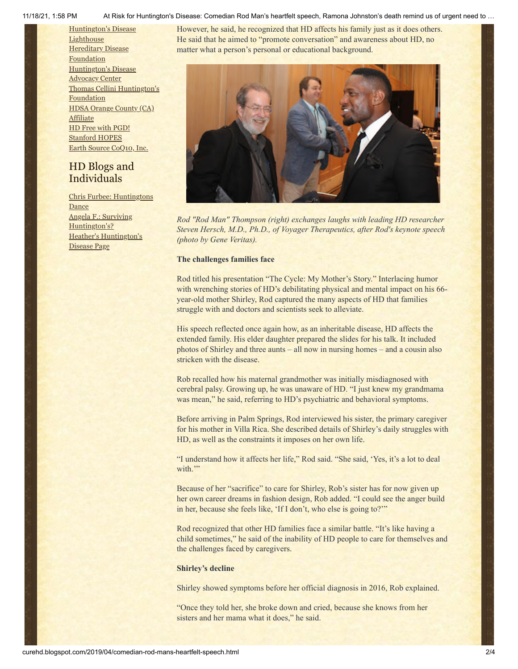#### 11/18/21, 1:58 PM At Risk for Huntington's Disease: Comedian Rod Man's heartfelt speech, Ramona Johnston's death remind us of urgent need to …

[Huntington's](http://www.hdlighthouse.org/) Disease **Lighthouse Hereditary Disease** [Foundation](http://www.hdfoundation.org/) [Huntington's](http://www.hdac.org/) Disease Advocacy Center Thomas [Cellini Huntington's](http://www.ourtchfoundation.org/) **Foundation** HDSA [Orange](http://www.hdsaoc.org/) County (CA) Affiliate HD Free with [PGD!](http://www.hdfreewithpgd.com/) [Stanford](http://www.stanford.edu/group/hopes/) HOPES Earth Source [CoQ10,](http://www.escoq10.com/) Inc.

# HD Blogs and Individuals

Chris Furbee: [Huntingtons](http://www.huntingtonsdance.org/) Dance Angela F.: Surviving [Huntington's?](http://survivinghuntingtons.blogspot.com/) Heather's [Huntington's](http://heatherdugdale.angelfire.com/) Disease Page

However, he said, he recognized that HD affects his family just as it does others. He said that he aimed to "promote conversation" and awareness about HD, no matter what a person's personal or educational background.



*Rod "Rod Man" Thompson (right) exchanges laughs with leading HD researcher Steven Hersch, M.D., Ph.D., of Voyager Therapeutics, after Rod's keynote speech (photo by Gene Veritas).*

#### **The challenges families face**

Rod titled his presentation "The Cycle: My Mother's Story." Interlacing humor with wrenching stories of HD's debilitating physical and mental impact on his 66year-old mother Shirley, Rod captured the many aspects of HD that families struggle with and doctors and scientists seek to alleviate.

His speech reflected once again how, as an inheritable disease, HD affects the extended family. His elder daughter prepared the slides for his talk. It included photos of Shirley and three aunts – all now in nursing homes – and a cousin also stricken with the disease.

Rob recalled how his maternal grandmother was initially misdiagnosed with cerebral palsy. Growing up, he was unaware of HD. "I just knew my grandmama was mean," he said, referring to HD's psychiatric and behavioral symptoms.

Before arriving in Palm Springs, Rod interviewed his sister, the primary caregiver for his mother in Villa Rica. She described details of Shirley's daily struggles with HD, as well as the constraints it imposes on her own life.

"I understand how it affects her life," Rod said. "She said, 'Yes, it's a lot to deal with."

Because of her "sacrifice" to care for Shirley, Rob's sister has for now given up her own career dreams in fashion design, Rob added. "I could see the anger build in her, because she feels like, 'If I don't, who else is going to?'"

Rod recognized that other HD families face a similar battle. "It's like having a child sometimes," he said of the inability of HD people to care for themselves and the challenges faced by caregivers.

#### **Shirley's decline**

Shirley showed symptoms before her official diagnosis in 2016, Rob explained.

"Once they told her, she broke down and cried, because she knows from her sisters and her mama what it does," he said.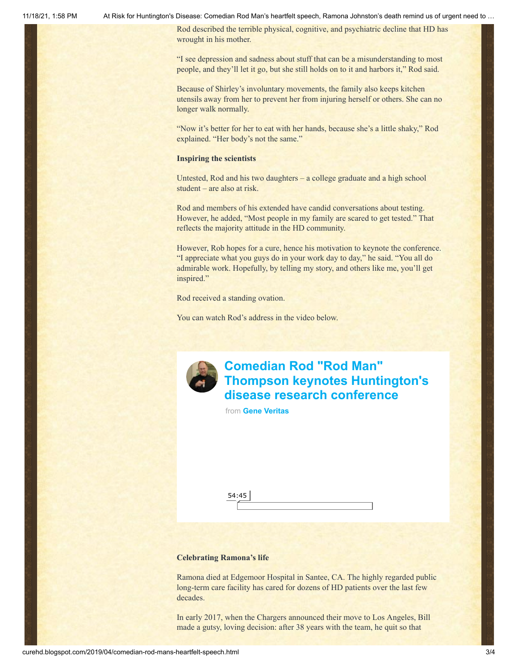11/18/21, 1:58 PM At Risk for Huntington's Disease: Comedian Rod Man's heartfelt speech, Ramona Johnston's death remind us of urgent need to …

Rod described the terrible physical, cognitive, and psychiatric decline that HD has wrought in his mother.

"I see depression and sadness about stuff that can be a misunderstanding to most people, and they'll let it go, but she still holds on to it and harbors it," Rod said.

Because of Shirley's involuntary movements, the family also keeps kitchen utensils away from her to prevent her from injuring herself or others. She can no longer walk normally.

"Now it's better for her to eat with her hands, because she's a little shaky," Rod explained. "Her body's not the same."

#### **Inspiring the scientists**

Untested, Rod and his two daughters – a college graduate and a high school student – are also at risk.

Rod and members of his extended have candid conversations about testing. However, he added, "Most people in my family are scared to get tested." That reflects the majority attitude in the HD community.

However, Rob hopes for a cure, hence his motivation to keynote the conference. "I appreciate what you guys do in your work day to day," he said. "You all do admirable work. Hopefully, by telling my story, and others like me, you'll get inspired."

Rod received a standing ovation.

You can watch Rod's address in the video below.



# **Comedian Rod "Rod Man" [Thompson keynotes Huntington's](https://vimeo.com/320151741?embedded=true&source=video_title&owner=6019843) disease research conference**

from **[Gene Veritas](https://vimeo.com/user6019843?embedded=true&source=owner_name&owner=6019843)**

54:45

#### **Celebrating Ramona's life**

Ramona died at Edgemoor Hospital in Santee, CA. The highly regarded public long-term care facility has cared for dozens of HD patients over the last few decades.

In early 2017, when the Chargers announced their move to Los Angeles, Bill made a gutsy, loving decision: after 38 years with the team, he quit so that